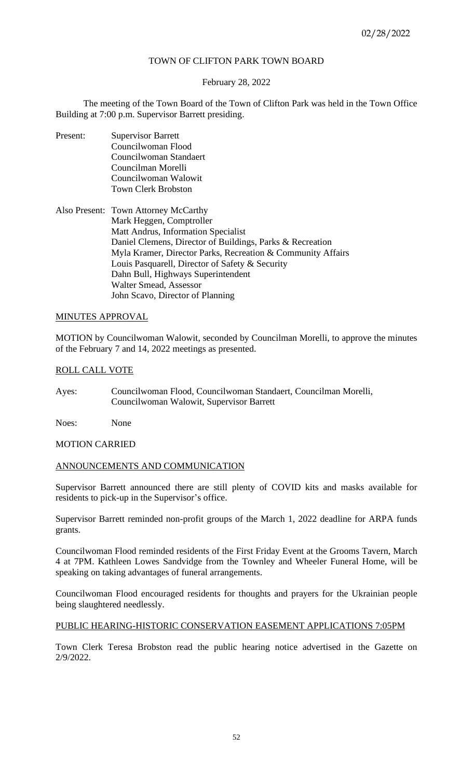# TOWN OF CLIFTON PARK TOWN BOARD

### February 28, 2022

The meeting of the Town Board of the Town of Clifton Park was held in the Town Office Building at 7:00 p.m. Supervisor Barrett presiding.

- Present: Supervisor Barrett Councilwoman Flood Councilwoman Standaert Councilman Morelli Councilwoman Walowit Town Clerk Brobston
- Also Present: Town Attorney McCarthy Mark Heggen, Comptroller Matt Andrus, Information Specialist Daniel Clemens, Director of Buildings, Parks & Recreation Myla Kramer, Director Parks, Recreation & Community Affairs Louis Pasquarell, Director of Safety & Security Dahn Bull, Highways Superintendent Walter Smead, Assessor John Scavo, Director of Planning

### MINUTES APPROVAL

MOTION by Councilwoman Walowit, seconded by Councilman Morelli, to approve the minutes of the February 7 and 14, 2022 meetings as presented.

### ROLL CALL VOTE

Ayes: Councilwoman Flood, Councilwoman Standaert, Councilman Morelli, Councilwoman Walowit, Supervisor Barrett

Noes: None

### MOTION CARRIED

#### ANNOUNCEMENTS AND COMMUNICATION

Supervisor Barrett announced there are still plenty of COVID kits and masks available for residents to pick-up in the Supervisor's office.

Supervisor Barrett reminded non-profit groups of the March 1, 2022 deadline for ARPA funds grants.

Councilwoman Flood reminded residents of the First Friday Event at the Grooms Tavern, March 4 at 7PM. Kathleen Lowes Sandvidge from the Townley and Wheeler Funeral Home, will be speaking on taking advantages of funeral arrangements.

Councilwoman Flood encouraged residents for thoughts and prayers for the Ukrainian people being slaughtered needlessly.

#### PUBLIC HEARING-HISTORIC CONSERVATION EASEMENT APPLICATIONS 7:05PM

Town Clerk Teresa Brobston read the public hearing notice advertised in the Gazette on 2/9/2022.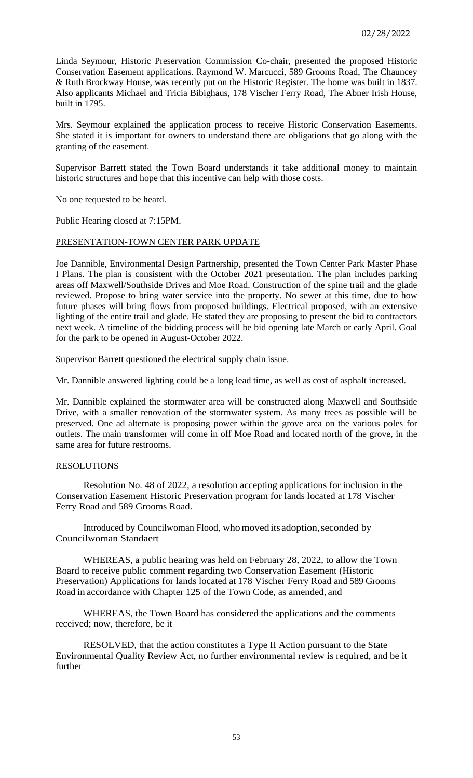Linda Seymour, Historic Preservation Commission Co-chair, presented the proposed Historic Conservation Easement applications. Raymond W. Marcucci, 589 Grooms Road, The Chauncey & Ruth Brockway House, was recently put on the Historic Register. The home was built in 1837. Also applicants Michael and Tricia Bibighaus, 178 Vischer Ferry Road, The Abner Irish House, built in 1795.

Mrs. Seymour explained the application process to receive Historic Conservation Easements. She stated it is important for owners to understand there are obligations that go along with the granting of the easement.

Supervisor Barrett stated the Town Board understands it take additional money to maintain historic structures and hope that this incentive can help with those costs.

No one requested to be heard.

Public Hearing closed at 7:15PM.

### PRESENTATION-TOWN CENTER PARK UPDATE

Joe Dannible, Environmental Design Partnership, presented the Town Center Park Master Phase I Plans. The plan is consistent with the October 2021 presentation. The plan includes parking areas off Maxwell/Southside Drives and Moe Road. Construction of the spine trail and the glade reviewed. Propose to bring water service into the property. No sewer at this time, due to how future phases will bring flows from proposed buildings. Electrical proposed, with an extensive lighting of the entire trail and glade. He stated they are proposing to present the bid to contractors next week. A timeline of the bidding process will be bid opening late March or early April. Goal for the park to be opened in August-October 2022.

Supervisor Barrett questioned the electrical supply chain issue.

Mr. Dannible answered lighting could be a long lead time, as well as cost of asphalt increased.

Mr. Dannible explained the stormwater area will be constructed along Maxwell and Southside Drive, with a smaller renovation of the stormwater system. As many trees as possible will be preserved. One ad alternate is proposing power within the grove area on the various poles for outlets. The main transformer will come in off Moe Road and located north of the grove, in the same area for future restrooms.

#### RESOLUTIONS

Resolution No. 48 of 2022, a resolution accepting applications for inclusion in the Conservation Easement Historic Preservation program for lands located at 178 Vischer Ferry Road and 589 Grooms Road.

Introduced by Councilwoman Flood, who moved its adoption, seconded by Councilwoman Standaert

WHEREAS, a public hearing was held on February 28, 2022, to allow the Town Board to receive public comment regarding two Conservation Easement (Historic Preservation) Applications for lands located at 178 Vischer Ferry Road and 589 Grooms Road in accordance with Chapter 125 of the Town Code, as amended, and

WHEREAS, the Town Board has considered the applications and the comments received; now, therefore, be it

RESOLVED, that the action constitutes a Type II Action pursuant to the State Environmental Quality Review Act, no further environmental review is required, and be it further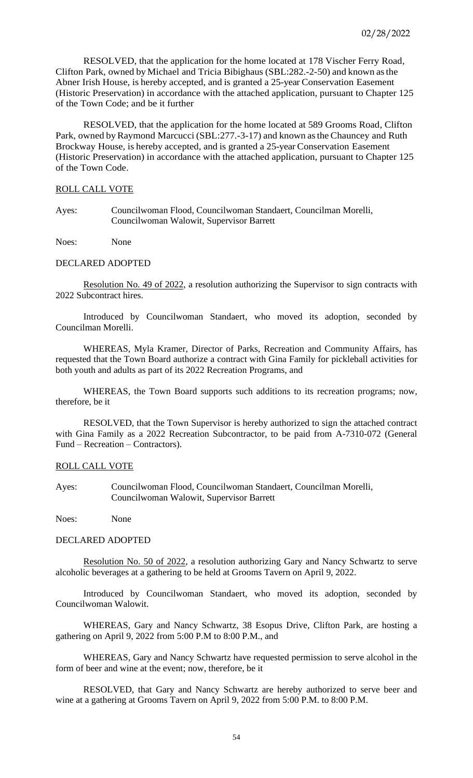RESOLVED, that the application for the home located at 178 Vischer Ferry Road, Clifton Park, owned by Michael and Tricia Bibighaus (SBL:282.-2-50) and known asthe Abner Irish House, is hereby accepted, and is granted a 25-year Conservation Easement (Historic Preservation) in accordance with the attached application, pursuant to Chapter 125 of the Town Code; and be it further

RESOLVED, that the application for the home located at 589 Grooms Road, Clifton Park, owned by Raymond Marcucci (SBL:277.-3-17) and known as the Chauncey and Ruth Brockway House, is hereby accepted, and is granted a 25-year Conservation Easement (Historic Preservation) in accordance with the attached application, pursuant to Chapter 125 of the Town Code.

#### ROLL CALL VOTE

Ayes: Councilwoman Flood, Councilwoman Standaert, Councilman Morelli, Councilwoman Walowit, Supervisor Barrett

Noes: None

### DECLARED ADOPTED

Resolution No. 49 of 2022, a resolution authorizing the Supervisor to sign contracts with 2022 Subcontract hires.

Introduced by Councilwoman Standaert, who moved its adoption, seconded by Councilman Morelli.

WHEREAS, Myla Kramer, Director of Parks, Recreation and Community Affairs, has requested that the Town Board authorize a contract with Gina Family for pickleball activities for both youth and adults as part of its 2022 Recreation Programs, and

WHEREAS, the Town Board supports such additions to its recreation programs; now, therefore, be it

RESOLVED, that the Town Supervisor is hereby authorized to sign the attached contract with Gina Family as a 2022 Recreation Subcontractor, to be paid from A-7310-072 (General Fund – Recreation – Contractors).

### ROLL CALL VOTE

Ayes: Councilwoman Flood, Councilwoman Standaert, Councilman Morelli, Councilwoman Walowit, Supervisor Barrett

Noes: None

### DECLARED ADOPTED

Resolution No. 50 of 2022, a resolution authorizing Gary and Nancy Schwartz to serve alcoholic beverages at a gathering to be held at Grooms Tavern on April 9, 2022.

Introduced by Councilwoman Standaert, who moved its adoption, seconded by Councilwoman Walowit.

WHEREAS, Gary and Nancy Schwartz, 38 Esopus Drive, Clifton Park, are hosting a gathering on April 9, 2022 from 5:00 P.M to 8:00 P.M., and

WHEREAS, Gary and Nancy Schwartz have requested permission to serve alcohol in the form of beer and wine at the event; now, therefore, be it

RESOLVED, that Gary and Nancy Schwartz are hereby authorized to serve beer and wine at a gathering at Grooms Tavern on April 9, 2022 from 5:00 P.M. to 8:00 P.M.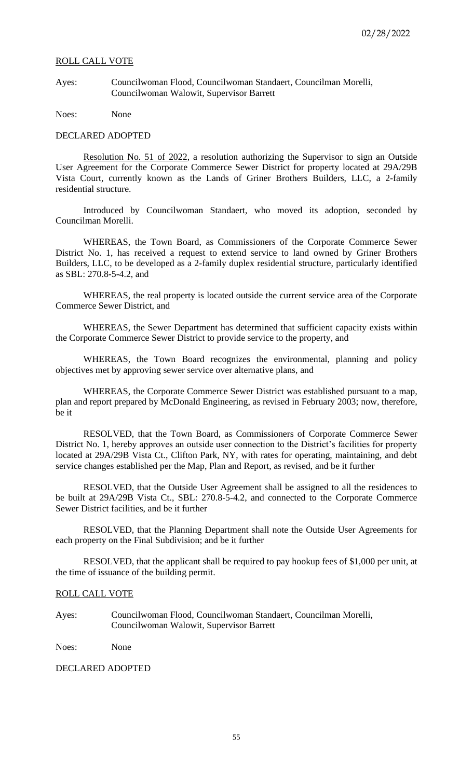#### ROLL CALL VOTE

Ayes: Councilwoman Flood, Councilwoman Standaert, Councilman Morelli, Councilwoman Walowit, Supervisor Barrett

Noes: None

### DECLARED ADOPTED

Resolution No. 51 of 2022, a resolution authorizing the Supervisor to sign an Outside User Agreement for the Corporate Commerce Sewer District for property located at 29A/29B Vista Court, currently known as the Lands of Griner Brothers Builders, LLC, a 2-family residential structure.

Introduced by Councilwoman Standaert, who moved its adoption, seconded by Councilman Morelli.

WHEREAS, the Town Board, as Commissioners of the Corporate Commerce Sewer District No. 1, has received a request to extend service to land owned by Griner Brothers Builders, LLC, to be developed as a 2-family duplex residential structure, particularly identified as SBL: 270.8-5-4.2, and

WHEREAS, the real property is located outside the current service area of the Corporate Commerce Sewer District, and

WHEREAS, the Sewer Department has determined that sufficient capacity exists within the Corporate Commerce Sewer District to provide service to the property, and

WHEREAS, the Town Board recognizes the environmental, planning and policy objectives met by approving sewer service over alternative plans, and

WHEREAS, the Corporate Commerce Sewer District was established pursuant to a map, plan and report prepared by McDonald Engineering, as revised in February 2003; now, therefore, be it

RESOLVED, that the Town Board, as Commissioners of Corporate Commerce Sewer District No. 1, hereby approves an outside user connection to the District's facilities for property located at 29A/29B Vista Ct., Clifton Park, NY, with rates for operating, maintaining, and debt service changes established per the Map, Plan and Report, as revised, and be it further

RESOLVED, that the Outside User Agreement shall be assigned to all the residences to be built at 29A/29B Vista Ct., SBL: 270.8-5-4.2, and connected to the Corporate Commerce Sewer District facilities, and be it further

RESOLVED, that the Planning Department shall note the Outside User Agreements for each property on the Final Subdivision; and be it further

RESOLVED, that the applicant shall be required to pay hookup fees of \$1,000 per unit, at the time of issuance of the building permit.

#### ROLL CALL VOTE

Ayes: Councilwoman Flood, Councilwoman Standaert, Councilman Morelli, Councilwoman Walowit, Supervisor Barrett

Noes: None

### DECLARED ADOPTED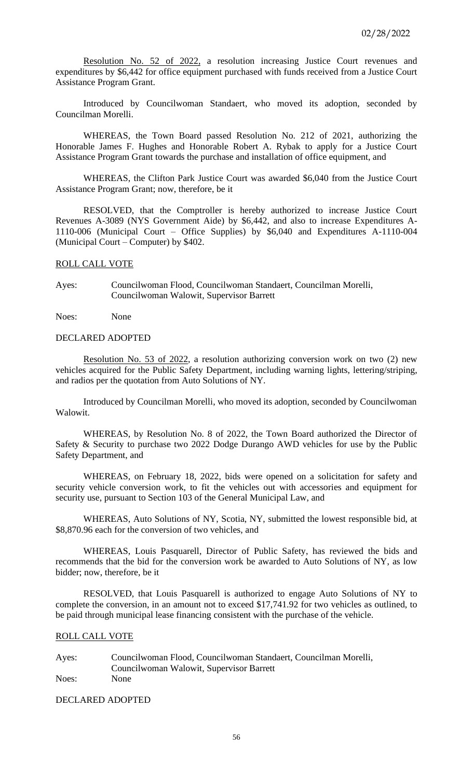Resolution No. 52 of 2022, a resolution increasing Justice Court revenues and expenditures by \$6,442 for office equipment purchased with funds received from a Justice Court Assistance Program Grant.

Introduced by Councilwoman Standaert, who moved its adoption, seconded by Councilman Morelli.

WHEREAS, the Town Board passed Resolution No. 212 of 2021, authorizing the Honorable James F. Hughes and Honorable Robert A. Rybak to apply for a Justice Court Assistance Program Grant towards the purchase and installation of office equipment, and

WHEREAS, the Clifton Park Justice Court was awarded \$6,040 from the Justice Court Assistance Program Grant; now, therefore, be it

RESOLVED, that the Comptroller is hereby authorized to increase Justice Court Revenues A-3089 (NYS Government Aide) by \$6,442, and also to increase Expenditures A-1110-006 (Municipal Court – Office Supplies) by \$6,040 and Expenditures A-1110-004 (Municipal Court – Computer) by \$402.

#### ROLL CALL VOTE

Ayes: Councilwoman Flood, Councilwoman Standaert, Councilman Morelli, Councilwoman Walowit, Supervisor Barrett

Noes: None

### DECLARED ADOPTED

Resolution No. 53 of 2022, a resolution authorizing conversion work on two (2) new vehicles acquired for the Public Safety Department, including warning lights, lettering/striping, and radios per the quotation from Auto Solutions of NY.

Introduced by Councilman Morelli, who moved its adoption, seconded by Councilwoman Walowit.

WHEREAS, by Resolution No. 8 of 2022, the Town Board authorized the Director of Safety & Security to purchase two 2022 Dodge Durango AWD vehicles for use by the Public Safety Department, and

WHEREAS, on February 18, 2022, bids were opened on a solicitation for safety and security vehicle conversion work, to fit the vehicles out with accessories and equipment for security use, pursuant to Section 103 of the General Municipal Law, and

WHEREAS, Auto Solutions of NY, Scotia, NY, submitted the lowest responsible bid, at \$8,870.96 each for the conversion of two vehicles, and

WHEREAS, Louis Pasquarell, Director of Public Safety, has reviewed the bids and recommends that the bid for the conversion work be awarded to Auto Solutions of NY, as low bidder; now, therefore, be it

RESOLVED, that Louis Pasquarell is authorized to engage Auto Solutions of NY to complete the conversion, in an amount not to exceed \$17,741.92 for two vehicles as outlined, to be paid through municipal lease financing consistent with the purchase of the vehicle.

#### ROLL CALL VOTE

Ayes: Councilwoman Flood, Councilwoman Standaert, Councilman Morelli, Councilwoman Walowit, Supervisor Barrett Noes: None

DECLARED ADOPTED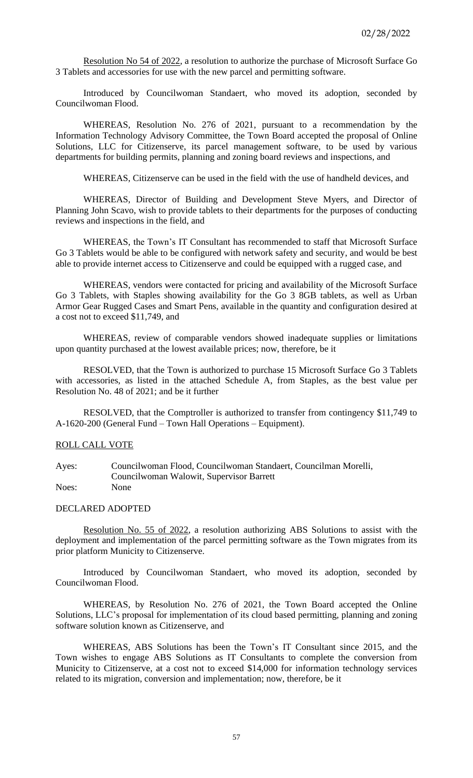Resolution No 54 of 2022, a resolution to authorize the purchase of Microsoft Surface Go 3 Tablets and accessories for use with the new parcel and permitting software.

Introduced by Councilwoman Standaert, who moved its adoption, seconded by Councilwoman Flood.

WHEREAS, Resolution No. 276 of 2021, pursuant to a recommendation by the Information Technology Advisory Committee, the Town Board accepted the proposal of Online Solutions, LLC for Citizenserve, its parcel management software, to be used by various departments for building permits, planning and zoning board reviews and inspections, and

WHEREAS, Citizenserve can be used in the field with the use of handheld devices, and

WHEREAS, Director of Building and Development Steve Myers, and Director of Planning John Scavo, wish to provide tablets to their departments for the purposes of conducting reviews and inspections in the field, and

WHEREAS, the Town's IT Consultant has recommended to staff that Microsoft Surface Go 3 Tablets would be able to be configured with network safety and security, and would be best able to provide internet access to Citizenserve and could be equipped with a rugged case, and

WHEREAS, vendors were contacted for pricing and availability of the Microsoft Surface Go 3 Tablets, with Staples showing availability for the Go 3 8GB tablets, as well as Urban Armor Gear Rugged Cases and Smart Pens, available in the quantity and configuration desired at a cost not to exceed \$11,749, and

WHEREAS, review of comparable vendors showed inadequate supplies or limitations upon quantity purchased at the lowest available prices; now, therefore, be it

RESOLVED, that the Town is authorized to purchase 15 Microsoft Surface Go 3 Tablets with accessories, as listed in the attached Schedule A, from Staples, as the best value per Resolution No. 48 of 2021; and be it further

RESOLVED, that the Comptroller is authorized to transfer from contingency \$11,749 to A-1620-200 (General Fund – Town Hall Operations – Equipment).

### ROLL CALL VOTE

Ayes: Councilwoman Flood, Councilwoman Standaert, Councilman Morelli, Councilwoman Walowit, Supervisor Barrett Noes: None

### DECLARED ADOPTED

Resolution No. 55 of 2022, a resolution authorizing ABS Solutions to assist with the deployment and implementation of the parcel permitting software as the Town migrates from its prior platform Municity to Citizenserve.

Introduced by Councilwoman Standaert, who moved its adoption, seconded by Councilwoman Flood.

WHEREAS, by Resolution No. 276 of 2021, the Town Board accepted the Online Solutions, LLC's proposal for implementation of its cloud based permitting, planning and zoning software solution known as Citizenserve, and

WHEREAS, ABS Solutions has been the Town's IT Consultant since 2015, and the Town wishes to engage ABS Solutions as IT Consultants to complete the conversion from Municity to Citizenserve, at a cost not to exceed \$14,000 for information technology services related to its migration, conversion and implementation; now, therefore, be it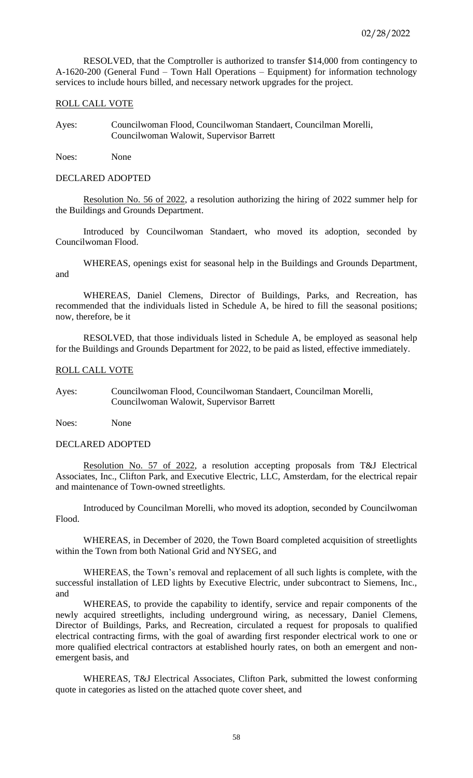RESOLVED, that the Comptroller is authorized to transfer \$14,000 from contingency to A-1620-200 (General Fund – Town Hall Operations – Equipment) for information technology services to include hours billed, and necessary network upgrades for the project.

### ROLL CALL VOTE

Ayes: Councilwoman Flood, Councilwoman Standaert, Councilman Morelli, Councilwoman Walowit, Supervisor Barrett

Noes: None

DECLARED ADOPTED

Resolution No. 56 of 2022, a resolution authorizing the hiring of 2022 summer help for the Buildings and Grounds Department.

Introduced by Councilwoman Standaert, who moved its adoption, seconded by Councilwoman Flood.

WHEREAS, openings exist for seasonal help in the Buildings and Grounds Department, and

WHEREAS, Daniel Clemens, Director of Buildings, Parks, and Recreation, has recommended that the individuals listed in Schedule A, be hired to fill the seasonal positions; now, therefore, be it

RESOLVED, that those individuals listed in Schedule A, be employed as seasonal help for the Buildings and Grounds Department for 2022, to be paid as listed, effective immediately.

#### ROLL CALL VOTE

Ayes: Councilwoman Flood, Councilwoman Standaert, Councilman Morelli, Councilwoman Walowit, Supervisor Barrett

Noes: None

### DECLARED ADOPTED

Resolution No. 57 of 2022, a resolution accepting proposals from T&J Electrical Associates, Inc., Clifton Park, and Executive Electric, LLC, Amsterdam, for the electrical repair and maintenance of Town-owned streetlights.

Introduced by Councilman Morelli, who moved its adoption, seconded by Councilwoman Flood.

WHEREAS, in December of 2020, the Town Board completed acquisition of streetlights within the Town from both National Grid and NYSEG, and

WHEREAS, the Town's removal and replacement of all such lights is complete, with the successful installation of LED lights by Executive Electric, under subcontract to Siemens, Inc., and

WHEREAS, to provide the capability to identify, service and repair components of the newly acquired streetlights, including underground wiring, as necessary, Daniel Clemens, Director of Buildings, Parks, and Recreation, circulated a request for proposals to qualified electrical contracting firms, with the goal of awarding first responder electrical work to one or more qualified electrical contractors at established hourly rates, on both an emergent and nonemergent basis, and

WHEREAS, T&J Electrical Associates, Clifton Park, submitted the lowest conforming quote in categories as listed on the attached quote cover sheet, and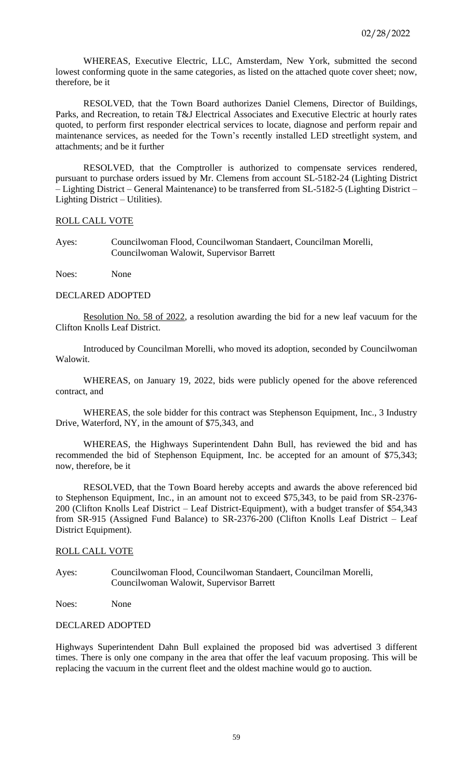WHEREAS, Executive Electric, LLC, Amsterdam, New York, submitted the second lowest conforming quote in the same categories, as listed on the attached quote cover sheet; now, therefore, be it

RESOLVED, that the Town Board authorizes Daniel Clemens, Director of Buildings, Parks, and Recreation, to retain T&J Electrical Associates and Executive Electric at hourly rates quoted, to perform first responder electrical services to locate, diagnose and perform repair and maintenance services, as needed for the Town's recently installed LED streetlight system, and attachments; and be it further

RESOLVED, that the Comptroller is authorized to compensate services rendered, pursuant to purchase orders issued by Mr. Clemens from account SL-5182-24 (Lighting District – Lighting District – General Maintenance) to be transferred from SL-5182-5 (Lighting District – Lighting District – Utilities).

ROLL CALL VOTE

Ayes: Councilwoman Flood, Councilwoman Standaert, Councilman Morelli, Councilwoman Walowit, Supervisor Barrett

Noes: None

#### DECLARED ADOPTED

Resolution No. 58 of 2022, a resolution awarding the bid for a new leaf vacuum for the Clifton Knolls Leaf District.

Introduced by Councilman Morelli, who moved its adoption, seconded by Councilwoman Walowit.

WHEREAS, on January 19, 2022, bids were publicly opened for the above referenced contract, and

WHEREAS, the sole bidder for this contract was Stephenson Equipment, Inc., 3 Industry Drive, Waterford, NY, in the amount of \$75,343, and

WHEREAS, the Highways Superintendent Dahn Bull, has reviewed the bid and has recommended the bid of Stephenson Equipment, Inc. be accepted for an amount of \$75,343; now, therefore, be it

RESOLVED, that the Town Board hereby accepts and awards the above referenced bid to Stephenson Equipment, Inc., in an amount not to exceed \$75,343, to be paid from SR-2376- 200 (Clifton Knolls Leaf District – Leaf District-Equipment), with a budget transfer of \$54,343 from SR-915 (Assigned Fund Balance) to SR-2376-200 (Clifton Knolls Leaf District – Leaf District Equipment).

# ROLL CALL VOTE

Ayes: Councilwoman Flood, Councilwoman Standaert, Councilman Morelli, Councilwoman Walowit, Supervisor Barrett

Noes: None

# DECLARED ADOPTED

Highways Superintendent Dahn Bull explained the proposed bid was advertised 3 different times. There is only one company in the area that offer the leaf vacuum proposing. This will be replacing the vacuum in the current fleet and the oldest machine would go to auction.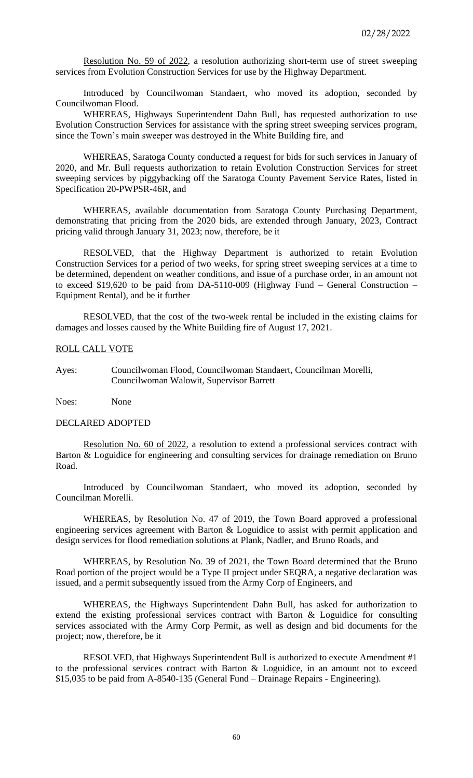Resolution No. 59 of 2022, a resolution authorizing short-term use of street sweeping services from Evolution Construction Services for use by the Highway Department.

Introduced by Councilwoman Standaert, who moved its adoption, seconded by Councilwoman Flood.

WHEREAS, Highways Superintendent Dahn Bull, has requested authorization to use Evolution Construction Services for assistance with the spring street sweeping services program, since the Town's main sweeper was destroyed in the White Building fire, and

WHEREAS, Saratoga County conducted a request for bids for such services in January of 2020, and Mr. Bull requests authorization to retain Evolution Construction Services for street sweeping services by piggybacking off the Saratoga County Pavement Service Rates, listed in Specification 20-PWPSR-46R, and

WHEREAS, available documentation from Saratoga County Purchasing Department, demonstrating that pricing from the 2020 bids, are extended through January, 2023, Contract pricing valid through January 31, 2023; now, therefore, be it

RESOLVED, that the Highway Department is authorized to retain Evolution Construction Services for a period of two weeks, for spring street sweeping services at a time to be determined, dependent on weather conditions, and issue of a purchase order, in an amount not to exceed \$19,620 to be paid from DA-5110-009 (Highway Fund – General Construction – Equipment Rental), and be it further

RESOLVED, that the cost of the two-week rental be included in the existing claims for damages and losses caused by the White Building fire of August 17, 2021.

### ROLL CALL VOTE

Ayes: Councilwoman Flood, Councilwoman Standaert, Councilman Morelli, Councilwoman Walowit, Supervisor Barrett

Noes: None

### DECLARED ADOPTED

Resolution No. 60 of 2022, a resolution to extend a professional services contract with Barton & Loguidice for engineering and consulting services for drainage remediation on Bruno Road.

Introduced by Councilwoman Standaert, who moved its adoption, seconded by Councilman Morelli.

WHEREAS, by Resolution No. 47 of 2019, the Town Board approved a professional engineering services agreement with Barton & Loguidice to assist with permit application and design services for flood remediation solutions at Plank, Nadler, and Bruno Roads, and

WHEREAS, by Resolution No. 39 of 2021, the Town Board determined that the Bruno Road portion of the project would be a Type II project under SEQRA, a negative declaration was issued, and a permit subsequently issued from the Army Corp of Engineers, and

WHEREAS, the Highways Superintendent Dahn Bull, has asked for authorization to extend the existing professional services contract with Barton & Loguidice for consulting services associated with the Army Corp Permit, as well as design and bid documents for the project; now, therefore, be it

RESOLVED, that Highways Superintendent Bull is authorized to execute Amendment #1 to the professional services contract with Barton & Loguidice, in an amount not to exceed \$15,035 to be paid from A-8540-135 (General Fund – Drainage Repairs - Engineering).